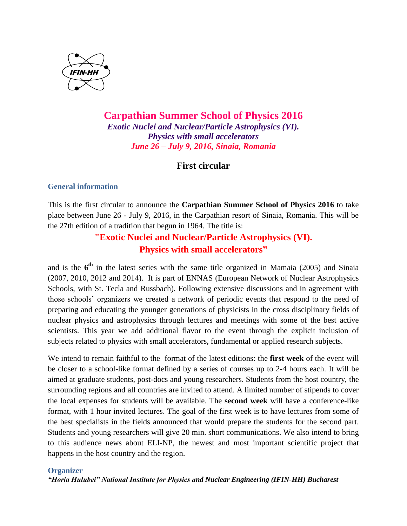

# **Carpathian Summer School of Physics 2016** *Exotic Nuclei and Nuclear/Particle Astrophysics (VI). Physics with small accelerators June 26 – July 9, 2016, Sinaia, Romania*

# **First circular**

## **General information**

This is the first circular to announce the **Carpathian Summer School of Physics 2016** to take place between June 26 - July 9, 2016, in the Carpathian resort of Sinaia, Romania. This will be the 27th edition of a tradition that begun in 1964. The title is:

# **"Exotic Nuclei and Nuclear/Particle Astrophysics (VI). Physics with small accelerators"**

and is the  $6<sup>th</sup>$  in the latest series with the same title organized in Mamaia (2005) and Sinaia (2007, 2010, 2012 and 2014). It is part of ENNAS (European Network of Nuclear Astrophysics Schools, with St. Tecla and Russbach). Following extensive discussions and in agreement with those schools' organizers we created a network of periodic events that respond to the need of preparing and educating the younger generations of physicists in the cross disciplinary fields of nuclear physics and astrophysics through lectures and meetings with some of the best active scientists. This year we add additional flavor to the event through the explicit inclusion of subjects related to physics with small accelerators, fundamental or applied research subjects.

We intend to remain faithful to the format of the latest editions: the **first week** of the event will be closer to a school-like format defined by a series of courses up to 2-4 hours each. It will be aimed at graduate students, post-docs and young researchers. Students from the host country, the surrounding regions and all countries are invited to attend. A limited number of stipends to cover the local expenses for students will be available. The **second week** will have a conference-like format, with 1 hour invited lectures. The goal of the first week is to have lectures from some of the best specialists in the fields announced that would prepare the students for the second part. Students and young researchers will give 20 min. short communications. We also intend to bring to this audience news about ELI-NP, the newest and most important scientific project that happens in the host country and the region.

## **Organizer**

*"Horia Hulubei" National Institute for Physics and Nuclear Engineering (IFIN-HH) Bucharest*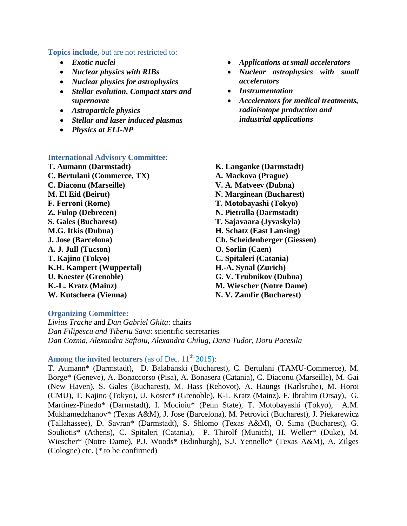**Topics include,** but are not restricted to:

- *Exotic nuclei*
- *Nuclear physics with RIBs*
- *Nuclear physics for astrophysics*
- *Stellar evolution. Compact stars and supernovae*
- *Astroparticle physics*
- *Stellar and laser induced plasmas*
- *Physics at ELI-NP*

#### **International Advisory Committee**:

**T. Aumann (Darmstadt) C. Bertulani (Commerce, TX) C. Diaconu (Marseille) M. El Eid (Beirut) F. Ferroni (Rome) Z. Fulop (Debrecen) S. Gales (Bucharest) M.G. Itkis (Dubna) J. Jose (Barcelona) A. J. Jull (Tucson) T. Kajino (Tokyo) K.H. Kampert (Wuppertal) U. Koester (Grenoble) K.-L. Kratz (Mainz) W. Kutschera (Vienna)**

- *Applications at small accelerators*
- *Nuclear astrophysics with small accelerators*
- *Instrumentation*
- *Accelerators for medical treatments, radioisotope production and industrial applications*
- **K. Langanke (Darmstadt) A. Mackova (Prague) V. A. Matveev (Dubna) N. Marginean (Bucharest) T. Motobayashi (Tokyo) N. Pietralla (Darmstadt) T. Sajavaara (Jyvaskyla) H. Schatz (East Lansing) Ch. Scheidenberger (Giessen) O. Sorlin (Caen) C. Spitaleri (Catania) H.-A. Synal (Zurich) G. V. Trubnikov (Dubna) M. Wiescher (Notre Dame) N. V. Zamfir (Bucharest)**

#### **Organizing Committee:**

*Livius Trache* and *Dan Gabriel Ghita*: chairs *Dan Filipescu and Tiberiu Sava*: scientific secretaries *Dan Cozma, Alexandra Saftoiu, Alexandra Chilug, Dana Tudor, Doru Pacesila*

## **Among the invited lecturers** (as of Dec.  $11<sup>th</sup> 2015$ ):

T. Aumann\* (Darmstadt), D. Balabanski (Bucharest), C. Bertulani (TAMU-Commerce), M. Borge\* (Geneve), A. Bonaccorso (Pisa), A. Bonasera (Catania), C. Diaconu (Marseille), M. Gai (New Haven), S. Gales (Bucharest), M. Hass (Rehovot), A. Haungs (Karlsruhe), M. Horoi (CMU), T. Kajino (Tokyo), U. Koster\* (Grenoble), K-L Kratz (Mainz), F. Ibrahim (Orsay), G. Martinez-Pinedo\* (Darmstadt), I. Mocioiu\* (Penn State), T. Motobayashi (Tokyo), A.M. Mukhamedzhanov\* (Texas A&M), J. Jose (Barcelona), M. Petrovici (Bucharest), J. Piekarewicz (Tallahassee), D. Savran\* (Darmstadt), S. Shlomo (Texas A&M), O. Sima (Bucharest), G. Souliotis\* (Athens), C. Spitaleri (Catania), P. Thirolf (Munich), H. Weller\* (Duke), M. Wiescher\* (Notre Dame), P.J. Woods\* (Edinburgh), S.J. Yennello\* (Texas A&M), A. Zilges (Cologne) etc. (*\** to be confirmed)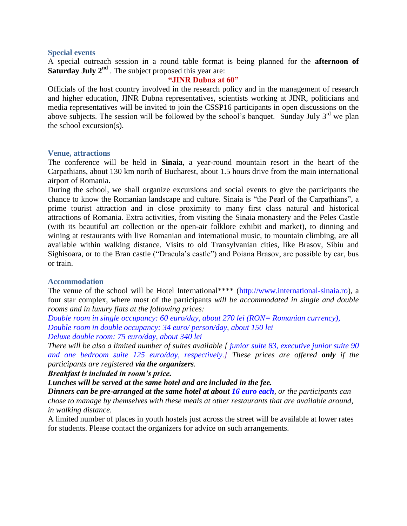### **Special events**

A special outreach session in a round table format is being planned for the **afternoon of Saturday July 2<sup>nd</sup>** . The subject proposed this year are:

#### **"JINR Dubna at 60"**

Officials of the host country involved in the research policy and in the management of research and higher education, JINR Dubna representatives, scientists working at JINR, politicians and media representatives will be invited to join the CSSP16 participants in open discussions on the above subjects. The session will be followed by the school's banquet. Sunday July  $3<sup>rd</sup>$  we plan the school excursion(s).

#### **Venue, attractions**

The conference will be held in **Sinaia**, a year-round mountain resort in the heart of the Carpathians, about 130 km north of Bucharest, about 1.5 hours drive from the main international airport of Romania.

During the school, we shall organize excursions and social events to give the participants the chance to know the Romanian landscape and culture. Sinaia is "the Pearl of the Carpathians", a prime tourist attraction and in close proximity to many first class natural and historical attractions of Romania. Extra activities, from visiting the Sinaia monastery and the Peles Castle (with its beautiful art collection or the open-air folklore exhibit and market), to dinning and wining at restaurants with live Romanian and international music, to mountain climbing, are all available within walking distance. Visits to old Transylvanian cities, like Brasov, Sibiu and Sighisoara, or to the Bran castle ("Dracula's castle") and Poiana Brasov, are possible by car, bus or train.

### **Accommodation**

The venue of the school will be Hotel International\*\*\*\* (http://www.international-sinaia.ro), a four star complex, where most of the participants *will be accommodated in single and double rooms and in luxury flats at the following prices:*

*Double room in single occupancy: 60 euro/day, about 270 lei (RON= Romanian currency), Double room in double occupancy: 34 euro/ person/day, about 150 lei Deluxe double room: 75 euro/day, about 340 lei*

*There will be also a limited number of suites available [ junior suite 83, executive junior suite 90 and one bedroom suite 125 euro/day, respectively.] These prices are offered only if the participants are registered via the organizers.*

*Breakfast is included in room's price.* 

*Lunches will be served at the same hotel and are included in the fee.* 

*Dinners can be pre-arranged at the same hotel at about 16 euro each, or the participants can chose to manage by themselves with these meals at other restaurants that are available around, in walking distance.*

A limited number of places in youth hostels just across the street will be available at lower rates for students. Please contact the organizers for advice on such arrangements.